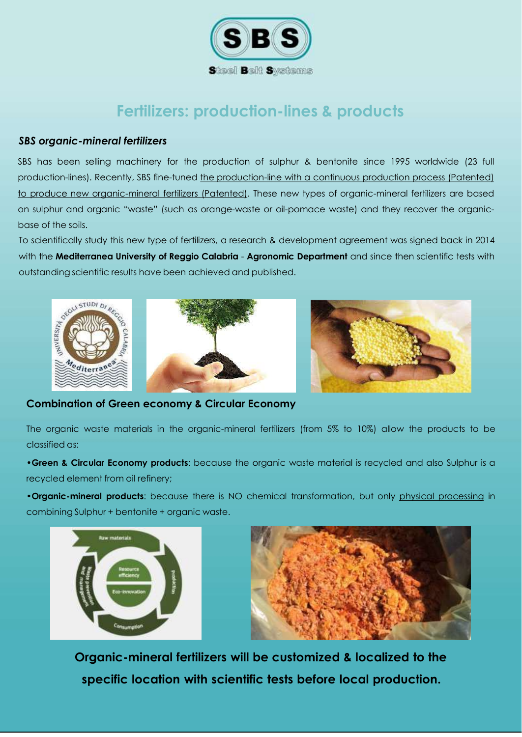

# **Fertilizers: production-lines & products**

### *SBS organic-mineral fertilizers*

SBS has been selling machinery for the production of sulphur & bentonite since 1995 worldwide (23 full production-lines). Recently, SBS fine-tuned the production-line with a continuous production process (Patented) to produce new organic-mineral fertilizers (Patented). These new types of organic-mineral fertilizers are based on sulphur and organic "waste" (such as orange-waste or oil-pomace waste) and they recover the organicbase of the soils.

To scientifically study this new type of fertilizers, a research & development agreement was signed back in 2014 with the **Mediterranea University of Reggio Calabria** - **Agronomic Department** and since then scientific tests with





**Combination of Green economy & Circular Economy**

The organic waste materials in the organic-mineral fertilizers (from 5% to 10%) allow the products to be classified as:

•**Green & Circular Economy products**: because the organic waste material is recycled and also Sulphur is a recycled element from oil refinery;

•**Organic-mineral products**: because there is NO chemical transformation, but only physical processing in combining Sulphur + bentonite + organic waste.





**Organic-mineral fertilizers will be customized & localized to the specific location with scientific tests before local production.**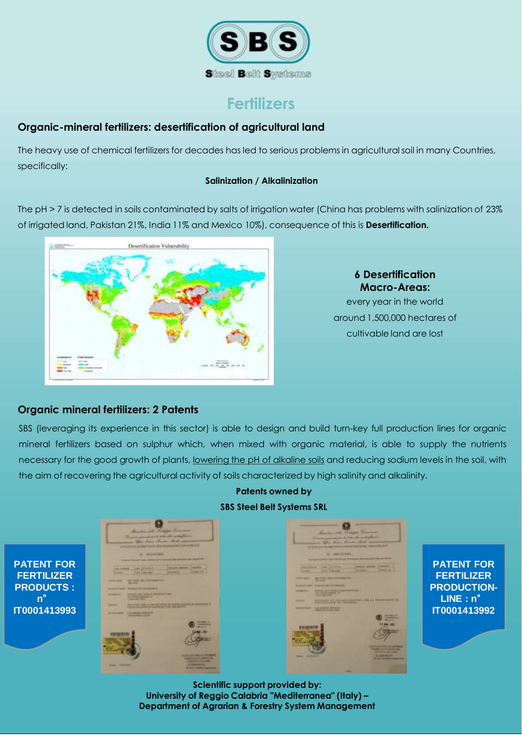

# **Fertilizers**

## **Organic-mineral fertilizers: desertification of agricultural land**

The heavy use of chemical fertilizers for decades has led to serious problems in agricultural soil in many Countries, specifically:

### **Salinization / Alkalinization**

The pH > 7 is detected in soils contaminated by salts of irrigation water (China has problems with salinization of 23% of irrigated land, Pakistan 21%, India 11% and Mexico 10%), consequence of this is **Desertification.**



## **6 Desertification Macro-Areas:**

every year in the world around 1,500,000 hectares of cultivable land are lost

## **Organic mineral fertilizers: 2 Patents**

**n**°

SBS (leveraging its experience in this sector) is able to design and build turn-key full production lines for organic mineral fertilizers based on sulphur which, when mixed with organic material, is able to supply the nutrients necessary for the good growth of plants, lowering the pH of alkaline soils and reducing sodium levels in the soil, with the aim of recovering the agricultural activity of soils characterized by high salinity and alkalinity.

# **PATENT FOR FERTILIZER PRODUCTS : IT0001413993**

**Patents owned by SBS Steel Belt Systems SRL** 

> **PATENT FOR FERTILIZER PRODUCTION-LINE : n**° **IT0001413992**

**Scientific support provided by: University of Reggio Calabria "Mediterranea" (Italy) – Department of Agrarian & Forestry System Management**